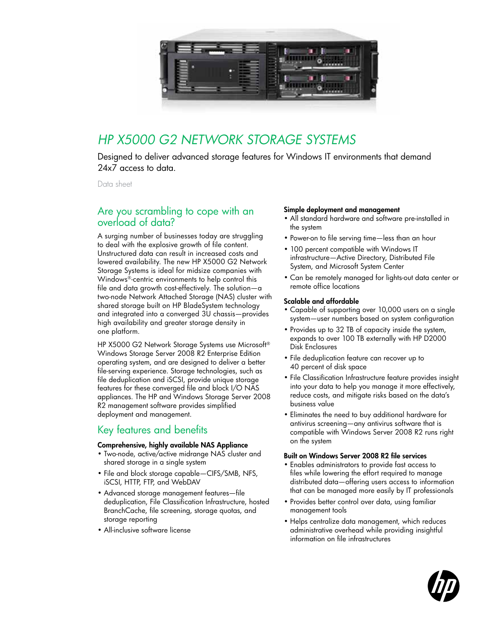

## *HP X5000 G2 Network Storage Systems*

Designed to deliver advanced storage features for Windows IT environments that demand 24x7 access to data.

Data sheet

### Are you scrambling to cope with an overload of data?

A surging number of businesses today are struggling to deal with the explosive growth of file content. Unstructured data can result in increased costs and lowered availability. The new HP X5000 G2 Network Storage Systems is ideal for midsize companies with Windows®-centric environments to help control this file and data growth cost-effectively. The solution—a two-node Network Attached Storage (NAS) cluster with shared storage built on HP BladeSystem technology and integrated into a converged 3U chassis—provides high availability and greater storage density in one platform.

HP X5000 G2 Network Storage Systems use Microsoft® Windows Storage Server 2008 R2 Enterprise Edition operating system, and are designed to deliver a better file-serving experience. Storage technologies, such as file deduplication and iSCSI, provide unique storage features for these converged file and block I/O NAS appliances. The HP and Windows Storage Server 2008 R2 management software provides simplified deployment and management.

## Key features and benefits

#### Comprehensive, highly available NAS Appliance

- Two-node, active/active midrange NAS cluster and shared storage in a single system
- File and block storage capable-CIFS/SMB, NFS, iSCSI, HTTP, FTP, and WebDAV
- • Advanced storage management features—file deduplication, File Classification Infrastructure, hosted BranchCache, file screening, storage quotas, and storage reporting
- • All-inclusive software license

#### Simple deployment and management

- • All standard hardware and software pre-installed in the system
- Power-on to file serving time—less than an hour
- 100 percent compatible with Windows IT infrastructure—Active Directory, Distributed File System, and Microsoft System Center
- • Can be remotely managed for lights-out data center or remote office locations

#### Scalable and affordable

- Capable of supporting over 10,000 users on a single system—user numbers based on system configuration
- • Provides up to 32 TB of capacity inside the system, expands to over 100 TB externally with HP D2000 Disk Enclosures
- File deduplication feature can recover up to 40 percent of disk space
- File Classification Infrastructure feature provides insight into your data to help you manage it more effectively, reduce costs, and mitigate risks based on the data's business value
- • Eliminates the need to buy additional hardware for antivirus screening—any antivirus software that is compatible with Windows Server 2008 R2 runs right on the system

#### Built on Windows Server 2008 R2 file services

- • Enables administrators to provide fast access to files while lowering the effort required to manage distributed data—offering users access to information that can be managed more easily by IT professionals
- Provides better control over data, using familiar management tools
- Helps centralize data management, which reduces administrative overhead while providing insightful information on file infrastructures

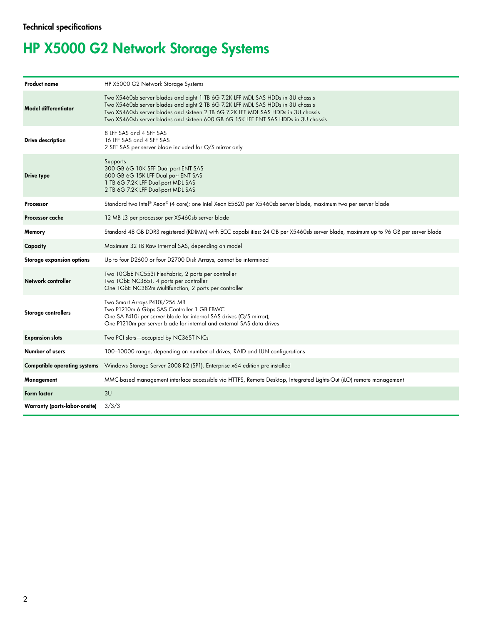# HP X5000 G2 Network Storage Systems

| <b>Product name</b>                 | HP X5000 G2 Network Storage Systems                                                                                                                                                                                                                                                                                                           |  |  |  |
|-------------------------------------|-----------------------------------------------------------------------------------------------------------------------------------------------------------------------------------------------------------------------------------------------------------------------------------------------------------------------------------------------|--|--|--|
| <b>Model differentiator</b>         | Two X5460sb server blades and eight 1 TB 6G 7.2K LFF MDL SAS HDDs in 3U chassis<br>Two X5460sb server blades and eight 2 TB 6G 7.2K LFF MDL SAS HDDs in 3U chassis<br>Two X5460sb server blades and sixteen 2 TB 6G 7.2K LFF MDL SAS HDDs in 3U chassis<br>Two X5460sb server blades and sixteen 600 GB 6G 15K LFF ENT SAS HDDs in 3U chassis |  |  |  |
| Drive description                   | 8 LFF SAS and 4 SFF SAS<br>16 LFF SAS and 4 SFF SAS<br>2 SFF SAS per server blade included for O/S mirror only                                                                                                                                                                                                                                |  |  |  |
| Drive type                          | Supports<br>300 GB 6G 10K SFF Dual-port ENT SAS<br>600 GB 6G 15K LFF Dual-port ENT SAS<br>1 TB 6G 7.2K LFF Dual-port MDL SAS<br>2 TB 6G 7.2K LFF Dual-port MDL SAS                                                                                                                                                                            |  |  |  |
| Processor                           | Standard two Intel® Xeon® (4 core); one Intel Xeon E5620 per X5460sb server blade, maximum two per server blade                                                                                                                                                                                                                               |  |  |  |
| Processor cache                     | 12 MB L3 per processor per X5460sb server blade                                                                                                                                                                                                                                                                                               |  |  |  |
| Memory                              | Standard 48 GB DDR3 registered (RDIMM) with ECC capabilities; 24 GB per X5460sb server blade, maximum up to 96 GB per server blade                                                                                                                                                                                                            |  |  |  |
| Capacity                            | Maximum 32 TB Raw Internal SAS, depending on model                                                                                                                                                                                                                                                                                            |  |  |  |
| <b>Storage expansion options</b>    | Up to four D2600 or four D2700 Disk Arrays, cannot be intermixed                                                                                                                                                                                                                                                                              |  |  |  |
| Network controller                  | Two 10GbE NC553i FlexFabric, 2 ports per controller<br>Two 1GbE NC365T, 4 ports per controller<br>One 1GbE NC382m Multifunction, 2 ports per controller                                                                                                                                                                                       |  |  |  |
| Storage controllers                 | Two Smart Arrays P410i/256 MB<br>Two P1210m 6 Gbps SAS Controller 1 GB FBWC<br>One SA P410i per server blade for internal SAS drives (O/S mirror);<br>One P1210m per server blade for internal and external SAS data drives                                                                                                                   |  |  |  |
| <b>Expansion slots</b>              | Two PCI slots-occupied by NC365T NICs                                                                                                                                                                                                                                                                                                         |  |  |  |
| Number of users                     | 100-10000 range, depending on number of drives, RAID and LUN configurations                                                                                                                                                                                                                                                                   |  |  |  |
| <b>Compatible operating systems</b> | Windows Storage Server 2008 R2 (SP1), Enterprise x64 edition pre-installed                                                                                                                                                                                                                                                                    |  |  |  |
| Management                          | MMC-based management interface accessible via HTTPS, Remote Desktop, Integrated Lights-Out (iLO) remote management                                                                                                                                                                                                                            |  |  |  |
| Form factor                         | 3U                                                                                                                                                                                                                                                                                                                                            |  |  |  |
| Warranty (parts-labor-onsite)       | 3/3/3                                                                                                                                                                                                                                                                                                                                         |  |  |  |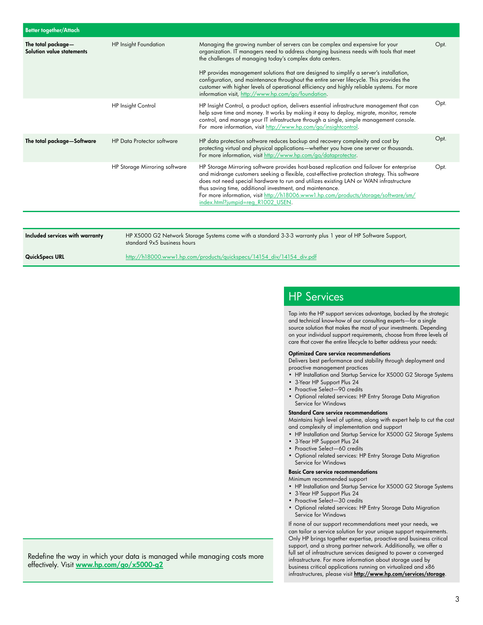| <b>Better together/Attach</b>                   |                                   |                                                                                                                                                                                                                                                                                                                                                                                                                                                                                                                                                                                 |      |
|-------------------------------------------------|-----------------------------------|---------------------------------------------------------------------------------------------------------------------------------------------------------------------------------------------------------------------------------------------------------------------------------------------------------------------------------------------------------------------------------------------------------------------------------------------------------------------------------------------------------------------------------------------------------------------------------|------|
| The total package-<br>Solution value statements | <b>HP Insight Foundation</b>      | Managing the growing number of servers can be complex and expensive for your<br>organization. IT managers need to address changing business needs with tools that meet<br>the challenges of managing today's complex data centers.<br>HP provides management solutions that are designed to simplify a server's installation,<br>configuration, and maintenance throughout the entire server lifecycle. This provides the<br>customer with higher levels of operational efficiency and highly reliable systems. For more<br>information visit, http://www.hp.com/go/foundation. | Opt. |
|                                                 | HP Insight Control                | HP Insight Control, a product option, delivers essential infrastructure management that can<br>help save time and money. It works by making it easy to deploy, migrate, monitor, remote<br>control, and manage your IT infrastructure through a single, simple management console.<br>For more information, visit http://www.hp.com/qo/insightcontrol.                                                                                                                                                                                                                          | Opt. |
| The total package-Software                      | <b>HP Data Protector software</b> | HP data protection software reduces backup and recovery complexity and cost by<br>protecting virtual and physical applications—whether you have one server or thousands.<br>For more information, visit http://www.hp.com/go/dataprotector.                                                                                                                                                                                                                                                                                                                                     | Opt. |
|                                                 | HP Storage Mirroring software     | HP Storage Mirroring software provides host-based replication and failover for enterprise<br>and midrange customers seeking a flexible, cost-effective protection strategy. This software<br>does not need special hardware to run and utilizes existing LAN or WAN infrastructure<br>thus saving time, additional investment, and maintenance.<br>For more information, visit http://h18006.www1.hp.com/products/storage/software/sm/<br>index.html?jumpid=req R1002 USEN.                                                                                                     | Opt. |
|                                                 |                                   |                                                                                                                                                                                                                                                                                                                                                                                                                                                                                                                                                                                 |      |

Included services with warranty HP X5000 G2 Network Storage Systems come with a standard 3-3-3 warranty plus 1 year of HP Software Support, standard 9x5 business hours

QuickSpecs URL http://h18000.www1.hp.com/products/quickspecs/14154\_div/14154\_div.pdf

## HP Services

Tap into the HP support services advantage, backed by the strategic and technical know-how of our consulting experts—for a single source solution that makes the most of your investments. Depending on your individual support requirements, choose from three levels of care that cover the entire lifecycle to better address your needs:

#### Optimized Care service recommendations

Delivers best performance and stability through deployment and proactive management practices

- HP Installation and Startup Service for X5000 G2 Storage Systems
- • 3-Year HP Support Plus 24
- Proactive Select-90 credits
- • Optional related services: HP Entry Storage Data Migration Service for Windows

Standard Care service recommendations

Maintains high level of uptime, along with expert help to cut the cost and complexity of implementation and support

- HP Installation and Startup Service for X5000 G2 Storage Systems
- • 3-Year HP Support Plus 24
- Proactive Select-60 credits
- • Optional related services: HP Entry Storage Data Migration Service for Windows

#### Basic Care service recommendations

#### Minimum recommended support

- HP Installation and Startup Service for X5000 G2 Storage Systems
- • 3-Year HP Support Plus 24
- Proactive Select-30 credits
- • Optional related services: HP Entry Storage Data Migration Service for Windows

If none of our support recommendations meet your needs, we can tailor a service solution for your unique support requirements. Only HP brings together expertise, proactive and business critical support, and a strong partner network. Additionally, we offer a full set of infrastructure services designed to power a converged infrastructure. For more information about storage used by business critical applications running on virtualized and x86 infrastructures, please visit http://www.hp.com/services/storage.

Redefine the way in which your data is managed while managing costs more effectively. Visit www.hp.com/go/x5000-g2